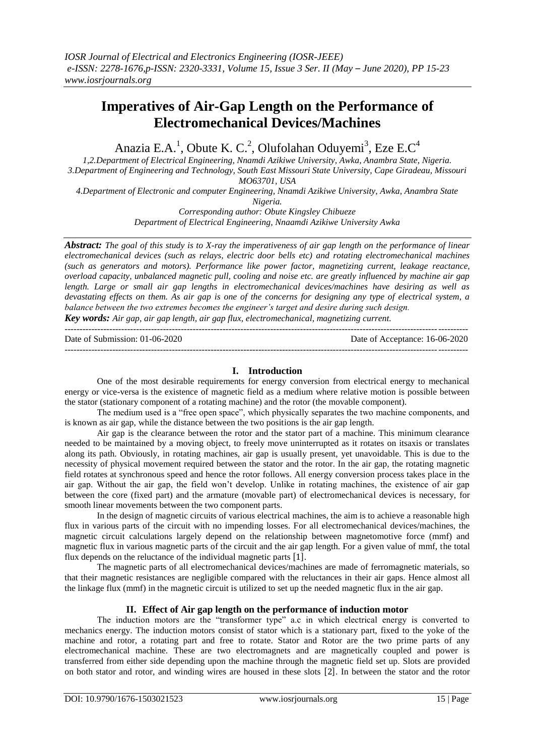# **Imperatives of Air-Gap Length on the Performance of Electromechanical Devices/Machines**

Anazia E.A.<sup>1</sup>, Obute K. C.<sup>2</sup>, Olufolahan Oduyemi<sup>3</sup>, Eze E.C<sup>4</sup>

*1,2.Department of Electrical Engineering, Nnamdi Azikiwe University, Awka, Anambra State, Nigeria. 3.Department of Engineering and Technology, South East Missouri State University, Cape Giradeau, Missouri MO63701, USA*

*4.Department of Electronic and computer Engineering, Nnamdi Azikiwe University, Awka, Anambra State Nigeria.*

> *Corresponding author: Obute Kingsley Chibueze Department of Electrical Engineering, Nnaamdi Azikiwe University Awka*

*Abstract: The goal of this study is to X-ray the imperativeness of air gap length on the performance of linear electromechanical devices (such as relays, electric door bells etc) and rotating electromechanical machines (such as generators and motors). Performance like power factor, magnetizing current, leakage reactance, overload capacity, unbalanced magnetic pull, cooling and noise etc. are greatly influenced by machine air gap length. Large or small air gap lengths in electromechanical devices/machines have desiring as well as devastating effects on them. As air gap is one of the concerns for designing any type of electrical system, a balance between the two extremes becomes the engineer's target and desire during such design.*

*Key words: Air gap, air gap length, air gap flux, electromechanical, magnetizing current.* ---------------------------------------------------------------------------------------------------------------------------------------

Date of Submission: 01-06-2020 Date of Acceptance: 16-06-2020 ---------------------------------------------------------------------------------------------------------------------------------------

# **I. Introduction**

One of the most desirable requirements for energy conversion from electrical energy to mechanical energy or vice-versa is the existence of magnetic field as a medium where relative motion is possible between the stator (stationary component of a rotating machine) and the rotor (the movable component).

The medium used is a "free open space", which physically separates the two machine components, and is known as air gap, while the distance between the two positions is the air gap length.

Air gap is the clearance between the rotor and the stator part of a machine. This minimum clearance needed to be maintained by a moving object, to freely move uninterrupted as it rotates on itsaxis or translates along its path. Obviously, in rotating machines, air gap is usually present, yet unavoidable. This is due to the necessity of physical movement required between the stator and the rotor. In the air gap, the rotating magnetic field rotates at synchronous speed and hence the rotor follows. All energy conversion process takes place in the air gap. Without the air gap, the field won't develop. Unlike in rotating machines, the existence of air gap between the core (fixed part) and the armature (movable part) of electromechanical devices is necessary, for smooth linear movements between the two component parts.

In the design of magnetic circuits of various electrical machines, the aim is to achieve a reasonable high flux in various parts of the circuit with no impending losses. For all electromechanical devices/machines, the magnetic circuit calculations largely depend on the relationship between magnetomotive force (mmf) and magnetic flux in various magnetic parts of the circuit and the air gap length. For a given value of mmf, the total flux depends on the reluctance of the individual magnetic parts [1].

The magnetic parts of all electromechanical devices/machines are made of ferromagnetic materials, so that their magnetic resistances are negligible compared with the reluctances in their air gaps. Hence almost all the linkage flux (mmf) in the magnetic circuit is utilized to set up the needed magnetic flux in the air gap.

# **II. Effect of Air gap length on the performance of induction motor**

The induction motors are the "transformer type" a.c in which electrical energy is converted to mechanics energy. The induction motors consist of stator which is a stationary part, fixed to the yoke of the machine and rotor, a rotating part and free to rotate. Stator and Rotor are the two prime parts of any electromechanical machine. These are two electromagnets and are magnetically coupled and power is transferred from either side depending upon the machine through the magnetic field set up. Slots are provided on both stator and rotor, and winding wires are housed in these slots [2]. In between the stator and the rotor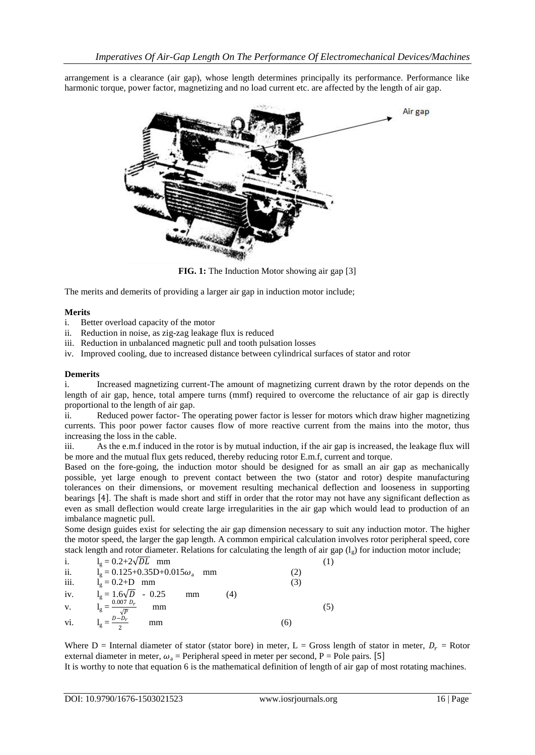arrangement is a clearance (air gap), whose length determines principally its performance. Performance like harmonic torque, power factor, magnetizing and no load current etc. are affected by the length of air gap.



**FIG. 1:** The Induction Motor showing air gap [3]

The merits and demerits of providing a larger air gap in induction motor include;

#### **Merits**

- i. Better overload capacity of the motor
- ii. Reduction in noise, as zig-zag leakage flux is reduced
- iii. Reduction in unbalanced magnetic pull and tooth pulsation losses
- iv. Improved cooling, due to increased distance between cylindrical surfaces of stator and rotor

## **Demerits**

i. Increased magnetizing current-The amount of magnetizing current drawn by the rotor depends on the length of air gap, hence, total ampere turns (mmf) required to overcome the reluctance of air gap is directly proportional to the length of air gap.

ii. Reduced power factor- The operating power factor is lesser for motors which draw higher magnetizing currents. This poor power factor causes flow of more reactive current from the mains into the motor, thus increasing the loss in the cable.

iii. As the e.m.f induced in the rotor is by mutual induction, if the air gap is increased, the leakage flux will be more and the mutual flux gets reduced, thereby reducing rotor E.m.f, current and torque.

Based on the fore-going, the induction motor should be designed for as small an air gap as mechanically possible, yet large enough to prevent contact between the two (stator and rotor) despite manufacturing tolerances on their dimensions, or movement resulting mechanical deflection and looseness in supporting bearings [4]. The shaft is made short and stiff in order that the rotor may not have any significant deflection as even as small deflection would create large irregularities in the air gap which would lead to production of an imbalance magnetic pull.

Some design guides exist for selecting the air gap dimension necessary to suit any induction motor. The higher the motor speed, the larger the gap length. A common empirical calculation involves rotor peripheral speed, core stack length and rotor diameter. Relations for calculating the length of air gap  $(l<sub>s</sub>)$  for induction motor include;

| i.   | $l_g = 0.2 + 2\sqrt{DL}$ mm                    |    |  |
|------|------------------------------------------------|----|--|
| ii.  | $l_g = 0.125+0.35D+0.015\omega_a$ mm           |    |  |
| iii. | $l_g = 0.2 + D$ mm                             |    |  |
| iv.  | $l_g = 1.6\sqrt{D} - 0.25$<br>(4)<br>mm        |    |  |
| V.   | $0.007 D_r$<br>mm<br>$\mathbf{I}$ $\mathbf{g}$ |    |  |
| vi.  | $D-D_r$<br>mm                                  | 66 |  |

Where D = Internal diameter of stator (stator bore) in meter, L = Gross length of stator in meter,  $D_r$  = Rotor external diameter in meter,  $\omega_a$  = Peripheral speed in meter per second, P = Pole pairs. [5]

It is worthy to note that equation 6 is the mathematical definition of length of air gap of most rotating machines.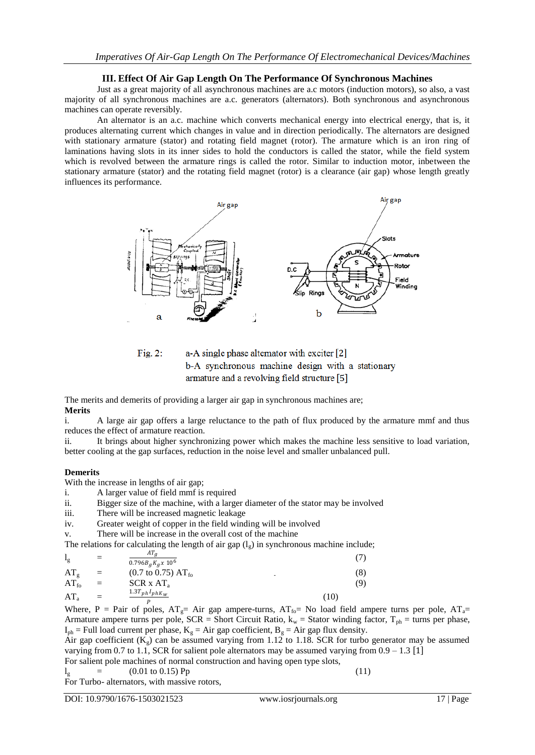## **III. Effect Of Air Gap Length On The Performance Of Synchronous Machines**

Just as a great majority of all asynchronous machines are a.c motors (induction motors), so also, a vast majority of all synchronous machines are a.c. generators (alternators). Both synchronous and asynchronous machines can operate reversibly.

An alternator is an a.c. machine which converts mechanical energy into electrical energy, that is, it produces alternating current which changes in value and in direction periodically. The alternators are designed with stationary armature (stator) and rotating field magnet (rotor). The armature which is an iron ring of laminations having slots in its inner sides to hold the conductors is called the stator, while the field system which is revolved between the armature rings is called the rotor. Similar to induction motor, inbetween the stationary armature (stator) and the rotating field magnet (rotor) is a clearance (air gap) whose length greatly influences its performance.





The merits and demerits of providing a larger air gap in synchronous machines are; **Merits**

i. A large air gap offers a large reluctance to the path of flux produced by the armature mmf and thus reduces the effect of armature reaction.

ii. It brings about higher synchronizing power which makes the machine less sensitive to load variation, better cooling at the gap surfaces, reduction in the noise level and smaller unbalanced pull.

#### **Demerits**

With the increase in lengths of air gap;

i. A larger value of field mmf is required

- ii. Bigger size of the machine, with a larger diameter of the stator may be involved
- iii. There will be increased magnetic leakage
- iv. Greater weight of copper in the field winding will be involved
- v. There will be increase in the overall cost of the machine

The relations for calculating the length of air gap  $(l_g)$  in synchronous machine include;

| $l_{\rm g}$     | $=$ | AT <sub>a</sub><br>$0.796B_gK_gx$ 10 <sup>6</sup>    |      |
|-----------------|-----|------------------------------------------------------|------|
| $AT_{\sigma}$   | $=$ | $(0.7 \text{ to } 0.75) \text{ AT}_{\text{fo}}$<br>۰ | (8)  |
| $AT_{fo}$       | $=$ | $SCR \times AT_a$                                    | (9)  |
| AT <sub>a</sub> | $=$ | $1.3T_{ph}I_{phK_W}$                                 | (10) |

Where, P = Pair of poles,  $AT_g$ = Air gap ampere-turns,  $AT_{fo}$ = No load field ampere turns per pole,  $AT_a$ = Armature ampere turns per pole,  $SCR = Short Circuit Ratio$ ,  $k_w = Stator winding factor$ ,  $T_{ph} = turns per phase$ ,  $I_{ph}$  = Full load current per phase,  $K_g$  = Air gap coefficient,  $B_g$  = Air gap flux density.

Air gap coefficient  $(K_g)$  can be assumed varying from 1.12 to 1.18. SCR for turbo generator may be assumed varying from 0.7 to 1.1, SCR for salient pole alternators may be assumed varying from  $0.9 - 1.3$  [1]

For salient pole machines of normal construction and having open type slots,

 $l_g$  = (0.01 to 0.15) Pp (11)

For Turbo- alternators, with massive rotors,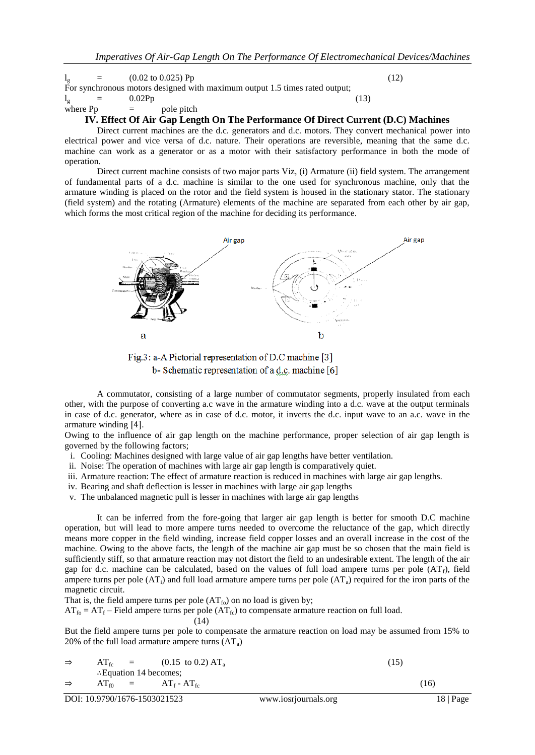$l_g$  = (0.02 to 0.025) Pp (12) For synchronous motors designed with maximum output 1.5 times rated output;<br> $I_{\alpha}$  = 0.02Pp  $l_g$  = 0.02Pp (13) where  $Pp =$  pole pitch

#### **IV. Effect Of Air Gap Length On The Performance Of Direct Current (D.C) Machines**

Direct current machines are the d.c. generators and d.c. motors. They convert mechanical power into electrical power and vice versa of d.c. nature. Their operations are reversible, meaning that the same d.c. machine can work as a generator or as a motor with their satisfactory performance in both the mode of operation.

Direct current machine consists of two major parts Viz, (i) Armature (ii) field system. The arrangement of fundamental parts of a d.c. machine is similar to the one used for synchronous machine, only that the armature winding is placed on the rotor and the field system is housed in the stationary stator. The stationary (field system) and the rotating (Armature) elements of the machine are separated from each other by air gap, which forms the most critical region of the machine for deciding its performance.



Fig.3: a-A Pictorial representation of D.C machine [3] b-Schematic representation of a d.c. machine [6]

A commutator, consisting of a large number of commutator segments, properly insulated from each other, with the purpose of converting a.c wave in the armature winding into a d.c. wave at the output terminals in case of d.c. generator, where as in case of d.c. motor, it inverts the d.c. input wave to an a.c. wave in the armature winding  $[4]$ .

Owing to the influence of air gap length on the machine performance, proper selection of air gap length is governed by the following factors;

- i. Cooling: Machines designed with large value of air gap lengths have better ventilation.
- ii. Noise: The operation of machines with large air gap length is comparatively quiet.
- iii. Armature reaction: The effect of armature reaction is reduced in machines with large air gap lengths.

iv. Bearing and shaft deflection is lesser in machines with large air gap lengths

v. The unbalanced magnetic pull is lesser in machines with large air gap lengths

It can be inferred from the fore-going that larger air gap length is better for smooth D.C machine operation, but will lead to more ampere turns needed to overcome the reluctance of the gap, which directly means more copper in the field winding, increase field copper losses and an overall increase in the cost of the machine. Owing to the above facts, the length of the machine air gap must be so chosen that the main field is sufficiently stiff, so that armature reaction may not distort the field to an undesirable extent. The length of the air gap for d.c. machine can be calculated, based on the values of full load ampere turns per pole  $(AT_f)$ , field ampere turns per pole  $(AT<sub>i</sub>)$  and full load armature ampere turns per pole  $(AT<sub>a</sub>)$  required for the iron parts of the magnetic circuit.

That is, the field ampere turns per pole  $(AT_{fo})$  on no load is given by;

 $AT_{fo} = AT_f$  – Field ampere turns per pole  $(AT_{fc})$  to compensate armature reaction on full load. (14)

But the field ampere turns per pole to compensate the armature reaction on load may be assumed from 15% to 20% of the full load armature ampere turns  $(AT_a)$ 

$$
\Rightarrow \quad AT_{fc} = (0.15 \text{ to } 0.2) \text{ AT}_{a}
$$
\n
$$
\therefore \text{Equation 14 becomes;}
$$
\n
$$
\Rightarrow \quad AT_{f0} = AT_{f} \cdot AT_{fc}
$$
\n(15)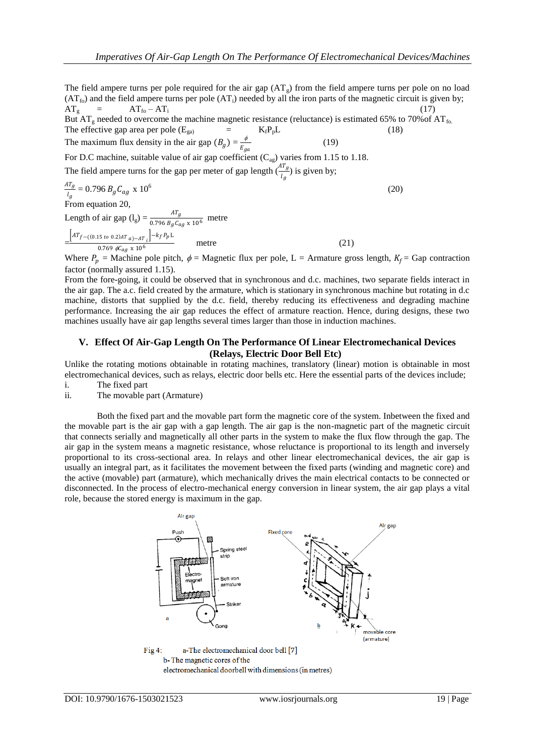(20)

The field ampere turns per pole required for the air gap  $(AT_{g})$  from the field ampere turns per pole on no load  $(AT<sub>fo</sub>)$  and the field ampere turns per pole  $(AT<sub>i</sub>)$  needed by all the iron parts of the magnetic circuit is given by;  $AT_g$  =  $AT_{fo} - AT_i$  (17)

But  $AT_g$  needed to overcome the machine magnetic resistance (reluctance) is estimated 65% to 70% of  $AT_{f_0}$ . The effective gap area per pole  $(E_{\text{ga}})$  =  $K_f P_p L$  (18) The maximum flux density in the air gap  $(B_g) = \frac{\phi}{E}$ (19)

 $E_{ga}$ For D.C machine, suitable value of air gap coefficient  $(C_{ag})$  varies from 1.15 to 1.18.

The field ampere turns for the gap per meter of gap length  $\left(\frac{AT_g}{l_g}\right)$  is given by;

$$
\frac{AT_g}{l_g} = 0.796 B_g C_{ag} \times 10^6
$$
  
From equation 20,

Length of air gap ( $l_g$ ) =  $\frac{AT_g}{0.796 B_g C_{ag} \times 10^6}$  metre

$$
-\frac{\left[AT_{f-(0.15\ to\ 0.2)AT_{a}-AT_{i}}\right]-k_{f}P_{p}L}{0.769\ \text{#G}_{ag}\times 10^{6}}
$$
 metre (21)

Where  $P_p$  = Machine pole pitch,  $\phi$  = Magnetic flux per pole, L = Armature gross length,  $K_f$  = Gap contraction factor (normally assured 1.15).

From the fore-going, it could be observed that in synchronous and d.c. machines, two separate fields interact in the air gap. The a.c. field created by the armature, which is stationary in synchronous machine but rotating in d.c machine, distorts that supplied by the d.c. field, thereby reducing its effectiveness and degrading machine performance. Increasing the air gap reduces the effect of armature reaction. Hence, during designs, these two machines usually have air gap lengths several times larger than those in induction machines.

## **V. Effect Of Air-Gap Length On The Performance Of Linear Electromechanical Devices (Relays, Electric Door Bell Etc)**

Unlike the rotating motions obtainable in rotating machines, translatory (linear) motion is obtainable in most electromechanical devices, such as relays, electric door bells etc. Here the essential parts of the devices include; i. The fixed part

ii. The movable part (Armature)

Both the fixed part and the movable part form the magnetic core of the system. Inbetween the fixed and the movable part is the air gap with a gap length. The air gap is the non-magnetic part of the magnetic circuit that connects serially and magnetically all other parts in the system to make the flux flow through the gap. The air gap in the system means a magnetic resistance, whose reluctance is proportional to its length and inversely proportional to its cross-sectional area. In relays and other linear electromechanical devices, the air gap is usually an integral part, as it facilitates the movement between the fixed parts (winding and magnetic core) and the active (movable) part (armature), which mechanically drives the main electrical contacts to be connected or disconnected. In the process of electro-mechanical energy conversion in linear system, the air gap plays a vital role, because the stored energy is maximum in the gap.



a-The electromechanical door bell [7] Fig  $4$ : b-The magnetic cores of the electromechanical doorbell with dimensions (in metres)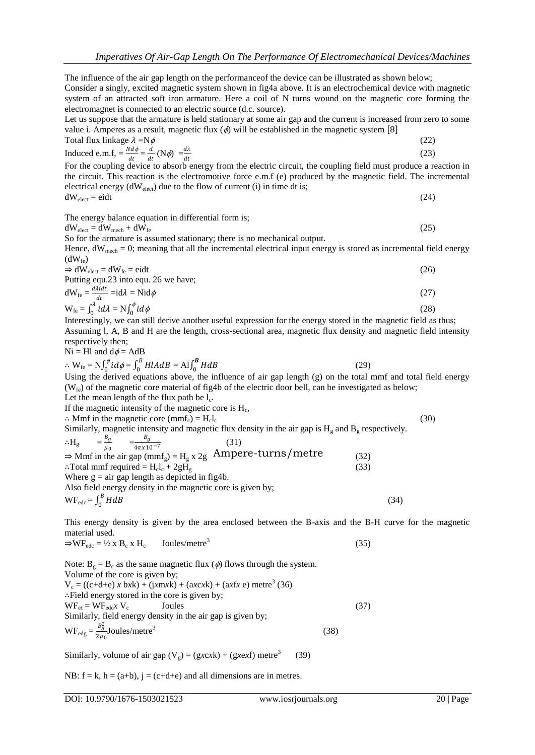The influence of the air gap length on the performanceof the device can be illustrated as shown below; Consider a singly, excited magnetic system shown in fig4a above. It is an electrochemical device with magnetic system of an attracted soft iron armature. Here a coil of N turns wound on the magnetic core forming the electromagnet is connected to an electric source (d.c. source).

Let us suppose that the armature is held stationary at some air gap and the current is increased from zero to some value i. Amperes as a result, magnetic flux  $(\phi)$  will be established in the magnetic system [8] Total flux linkage  $2-Nd$ 

Total flux linkage 
$$
\lambda = N\phi
$$
 (22)  
Induced e.m.f,  $=\frac{Nd\phi}{dt} = \frac{d}{dt}(N\phi) = \frac{d\lambda}{dt}$  (23)

For the coupling device to absorb energy from the electric circuit, the coupling field must produce a reaction in the circuit. This reaction is the electromotive force e.m.f (e) produced by the magnetic field. The incremental electrical energy  $(dW_{elect})$  due to the flow of current (i) in time dt is;

 $dW_{\text{elect}} = \text{eidt}$  (24)

The energy balance equation in differential form is;

$$
dW_{\text{elect}} = dW_{\text{mech}} + dW_{\text{fe}} \tag{25}
$$

So for the armature is assumed stationary; there is no mechanical output.

Hence,  $dW_{mech} = 0$ ; meaning that all the incremental electrical input energy is stored as incremental field energy  $(dW_{fe})$ 

 $\Rightarrow$  dW<sub>elect</sub> = dW<sub>fe</sub> = eidt (26) Putting equ.23 into equ. 26 we have;  $dW_{fe} = \frac{d\lambda i dt}{dt}$  $\frac{d\mathcal{L}}{dt} = id\lambda = \text{N}id\phi$  (27)  $W_{\text{fe}} = \int_0^{\lambda} id\lambda$  $\int_0^{\lambda} i d\lambda = N \int_0^{\phi} i d\phi$ (28)

0 Interestingly, we can still derive another useful expression for the energy stored in the magnetic field as thus; Assuming l, A, B and H are the length, cross-sectional area, magnetic flux density and magnetic field intensity respectively then;

$$
Ni = Hl
$$
 and  $d\phi = AdB$ 

$$
\therefore \mathbf{W}_{\text{fe}} = \mathbf{N} \int_0^{\phi} i d\phi = \int_0^B H l A dB = \mathbf{A} \mathbf{I} \int_0^B H dB
$$
 (29)

Using the derived equations above, the influence of air gap length (g) on the total mmf and total field energy  $(W_{f_e})$  of the magnetic core material of fig4b of the electric door bell, can be investigated as below; Let the mean length of the flux path be  $l_c$ .

If the magnetic intensity of the magnetic core is  $H_c$ ,

∴ Mmf in the magnetic core (mmf<sub>c</sub>) =  $H<sub>c</sub>l<sub>c</sub>$  $\mathbf{l}_{\rm c}$  (30)

Similarly, magnetic intensity and magnetic flux density in the air gap is  $H<sub>g</sub>$  and  $B<sub>g</sub>$  respectively. ∴ $H<sub>°</sub>$  $B_g$  $\mu_0$  $=\frac{B_g}{1}$  $4\pi x 10^{-7}$ (31)  $\Rightarrow$  Mmf in the air gap (mmf<sub>g</sub>) = H<sub>g</sub> x 2g Ampere-turns/metre (32) ∴Total mmf required =  $H_{clc} + 2gH_g$  (33) Where  $g = air$  gap length as depicted in fig4b. Also field energy density in the magnetic core is given by;

 $WF_{\text{ede}} = \int_0^B H dB$  $\boldsymbol{0}$ 

This energy density is given by the area enclosed between the B-axis and the B-H curve for the magnetic material used.

$$
\Rightarrow \text{WF}_{\text{edc}} = \frac{1}{2} \times \text{B}_{\text{c}} \times \text{H}_{\text{c}} \qquad \text{Joules/metre}^3 \tag{35}
$$

Note:  $B_g = B_c$  as the same magnetic flux ( $\phi$ ) flows through the system. Volume of the core is given by;  $V_c = ((c+d+e) x b x k) + (j x m x k) + (ax c x k) + (a x f x e)$  metre<sup>3</sup> (36) ∴Field energy stored in the core is given by;  $WF_{ec} = WF_{edc}XV_c$  Joules (37) Similarly, field energy density in the air gap is given by;  $W F_{\text{edge}} = \frac{B_g^2}{2H}$  $rac{B_{\tilde{g}}}{2\mu_0}$ Joules/metre<sup>3</sup> (38)

Similarly, volume of air gap  $(V_g) = (g \cdot x \cdot k) + (g \cdot x \cdot \cdot \cdot f)$  metre<sup>3</sup> (39)

NB:  $f = k$ ,  $h = (a+b)$ ,  $j = (c+d+e)$  and all dimensions are in metres.

(34)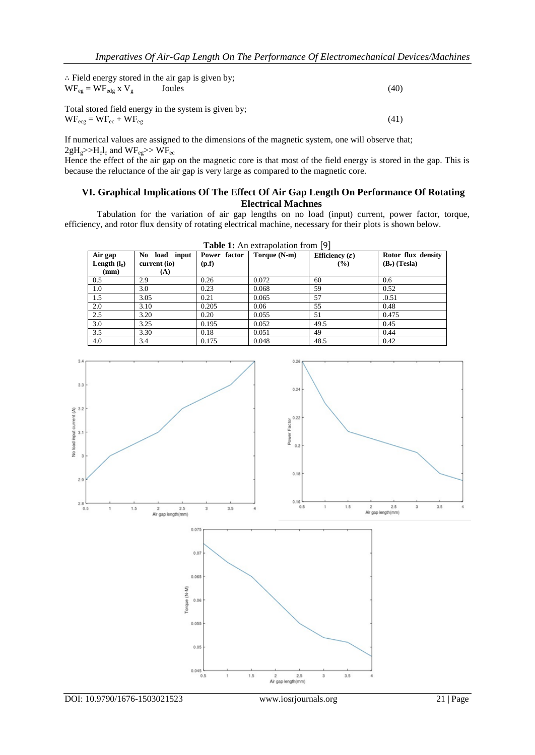| $\therefore$ Field energy stored in the air gap is given by;<br>$WF_{eg} = WF_{edg}$ x $V_g$                | Joules | (40) |
|-------------------------------------------------------------------------------------------------------------|--------|------|
| Total stored field energy in the system is given by;<br>$WF_{\text{ecg}} = WF_{\text{ec}} + WF_{\text{eg}}$ |        | (41) |

If numerical values are assigned to the dimensions of the magnetic system, one will observe that;  $2gH_g$ >> $H_cI_c$  and  $WF_{eg}$ >>  $WF_{ec}$ 

Hence the effect of the air gap on the magnetic core is that most of the field energy is stored in the gap. This is because the reluctance of the air gap is very large as compared to the magnetic core.

## **VI. Graphical Implications Of The Effect Of Air Gap Length On Performance Of Rotating Electrical Machnes**

Tabulation for the variation of air gap lengths on no load (input) current, power factor, torque, efficiency, and rotor flux density of rotating electrical machine, necessary for their plots is shown below.

| Air gap<br>Length $(l_{\rm g})$<br>(mm) | No load input<br>current (io)<br>(A) | Power factor<br>(p.f) | Torque (N-m) | Efficiency $(\varepsilon)$<br>$($ %) | Rotor flux density<br>$(B_r)$ (Tesla) |
|-----------------------------------------|--------------------------------------|-----------------------|--------------|--------------------------------------|---------------------------------------|
| 0.5                                     | 2.9                                  | 0.26                  | 0.072        | 60                                   | 0.6                                   |
| 1.0                                     | 3.0                                  | 0.23                  | 0.068        | 59                                   | 0.52                                  |
| 1.5                                     | 3.05                                 | 0.21                  | 0.065        | 57                                   | .0.51                                 |
| 2.0                                     | 3.10                                 | 0.205                 | 0.06         | 55                                   | 0.48                                  |
| 2.5                                     | 3.20                                 | 0.20                  | 0.055        | 51                                   | 0.475                                 |
| 3.0                                     | 3.25                                 | 0.195                 | 0.052        | 49.5                                 | 0.45                                  |
| 3.5                                     | 3.30                                 | 0.18                  | 0.051        | 49                                   | 0.44                                  |
| 4.0                                     | 3.4                                  | 0.175                 | 0.048        | 48.5                                 | 0.42                                  |

**Table 1:** An extrepolation from [0]



DOI: 10.9790/1676-1503021523 www.iosrjournals.org 21 | Page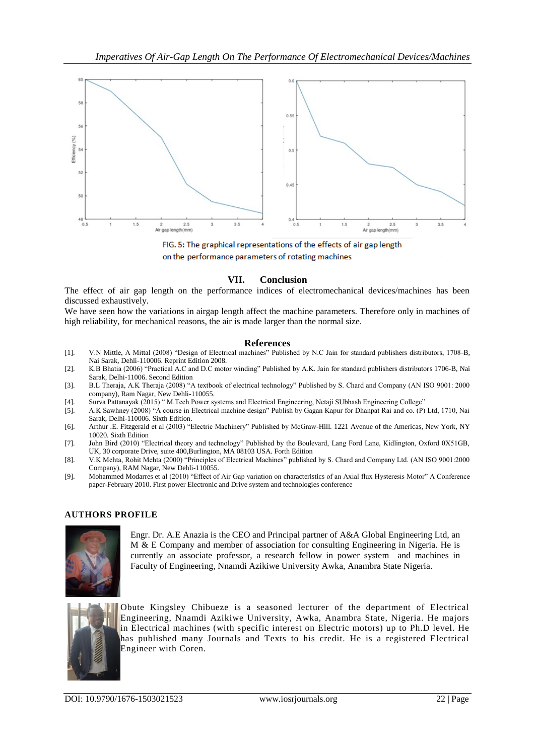

FIG. 5: The graphical representations of the effects of air gap length on the performance parameters of rotating machines

# **VII. Conclusion**

The effect of air gap length on the performance indices of electromechanical devices/machines has been discussed exhaustively.

We have seen how the variations in airgap length affect the machine parameters. Therefore only in machines of high reliability, for mechanical reasons, the air is made larger than the normal size.

#### **References**

- [1]. V.N Mittle, A Mittal (2008) "Design of Electrical machines" Published by N.C Jain for standard publishers distributors, 1708-B, Nai Sarak, Dehli-110006. Reprint Edition 2008.
- [2]. K.B Bhatia (2006) "Practical A.C and D.C motor winding" Published by A.K. Jain for standard publishers distributors 1706-B, Nai Sarak, Delhi-11006. Second Edition
- [3]. B.L Theraja, A.K Theraja (2008) "A textbook of electrical technology" Published by S. Chard and Company (AN ISO 9001: 2000 company), Ram Nagar, New Dehli-110055.
- [4]. Surva Pattanayak (2015) " M.Tech Power systems and Electrical Engineering, Netaji SUbhash Engineering College"
- [5]. A.K Sawhney (2008) "A course in Electrical machine design" Publish by Gagan Kapur for Dhanpat Rai and co. (P) Ltd, 1710, Nai Sarak, Delhi-110006. Sixth Edition.
- [6]. Arthur .E. Fitzgerald et al (2003) "Electric Machinery" Published by McGraw-Hill. 1221 Avenue of the Americas, New York, NY 10020. Sixth Edition
- [7]. John Bird (2010) "Electrical theory and technology" Published by the Boulevard, Lang Ford Lane, Kidlington, Oxford 0X51GB, UK, 30 corporate Drive, suite 400,Burlington, MA 08103 USA. Forth Edition
- [8]. V.K Mehta, Rohit Mehta (2000) "Principles of Electrical Machines" published by S. Chard and Company Ltd. (AN ISO 9001:2000 Company), RAM Nagar, New Dehli-110055.
- [9]. Mohammed Modarres et al (2010) "Effect of Air Gap variation on characteristics of an Axial flux Hysteresis Motor" A Conference paper-February 2010. First power Electronic and Drive system and technologies conference

# **AUTHORS PROFILE**



Engr. Dr. A.E Anazia is the CEO and Principal partner of A&A Global Engineering Ltd, an M & E Company and member of association for consulting Engineering in Nigeria. He is currently an associate professor, a research fellow in power system and machines in Faculty of Engineering, Nnamdi Azikiwe University Awka, Anambra State Nigeria.



Obute Kingsley Chibueze is a seasoned lecturer of the department of Electrical Engineering, Nnamdi Azikiwe University, Awka, Anambra State, Nigeria. He majors in Electrical machines (with specific interest on Electric motors) up to Ph.D level. He has published many Journals and Texts to his credit. He is a registered Electrical Engineer with Coren.